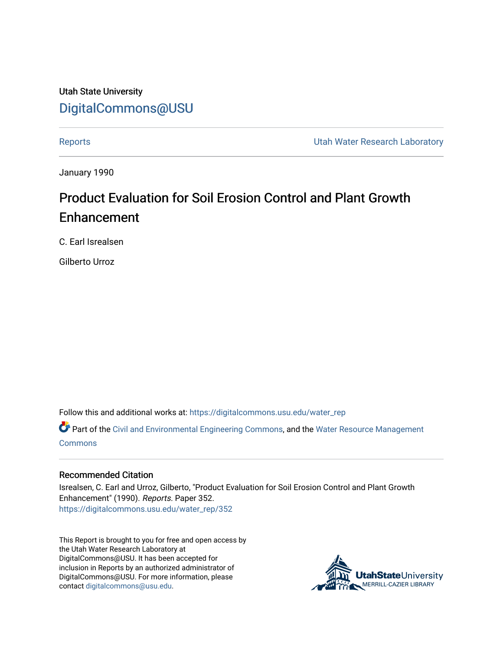Utah State University [DigitalCommons@USU](https://digitalcommons.usu.edu/)

[Reports](https://digitalcommons.usu.edu/water_rep) **Exercise Exercise Exercise Exercise Contract Contract Contract Contract Contract Contract Contract Contract Contract Contract Contract Contract Contract Contract Contract Contract Contract Contract Contract Contra** 

January 1990

# Product Evaluation for Soil Erosion Control and Plant Growth Enhancement

C. Earl Isrealsen

Gilberto Urroz

Follow this and additional works at: [https://digitalcommons.usu.edu/water\\_rep](https://digitalcommons.usu.edu/water_rep?utm_source=digitalcommons.usu.edu%2Fwater_rep%2F352&utm_medium=PDF&utm_campaign=PDFCoverPages) 

Part of the [Civil and Environmental Engineering Commons](http://network.bepress.com/hgg/discipline/251?utm_source=digitalcommons.usu.edu%2Fwater_rep%2F352&utm_medium=PDF&utm_campaign=PDFCoverPages), and the [Water Resource Management](http://network.bepress.com/hgg/discipline/1057?utm_source=digitalcommons.usu.edu%2Fwater_rep%2F352&utm_medium=PDF&utm_campaign=PDFCoverPages) **[Commons](http://network.bepress.com/hgg/discipline/1057?utm_source=digitalcommons.usu.edu%2Fwater_rep%2F352&utm_medium=PDF&utm_campaign=PDFCoverPages)** 

### Recommended Citation

Isrealsen, C. Earl and Urroz, Gilberto, "Product Evaluation for Soil Erosion Control and Plant Growth Enhancement" (1990). Reports. Paper 352. [https://digitalcommons.usu.edu/water\\_rep/352](https://digitalcommons.usu.edu/water_rep/352?utm_source=digitalcommons.usu.edu%2Fwater_rep%2F352&utm_medium=PDF&utm_campaign=PDFCoverPages)

This Report is brought to you for free and open access by the Utah Water Research Laboratory at DigitalCommons@USU. It has been accepted for inclusion in Reports by an authorized administrator of DigitalCommons@USU. For more information, please contact [digitalcommons@usu.edu](mailto:digitalcommons@usu.edu).

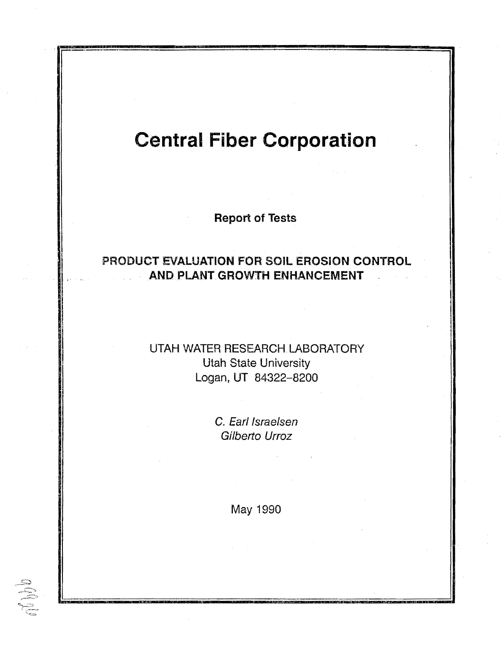# **Central Fiber Corporation**

**Report of Tests** 

## PRODUCT EVALUATION FOR SOIL EROSION CONTROL AND PLANT GROWTH ENHANCEMENT

## UTAH WATER RESEARCH LABORATORY **Utah State University** Logan, UT 84322-8200

C. Earl Israelsen Gilberto Urroz

May 1990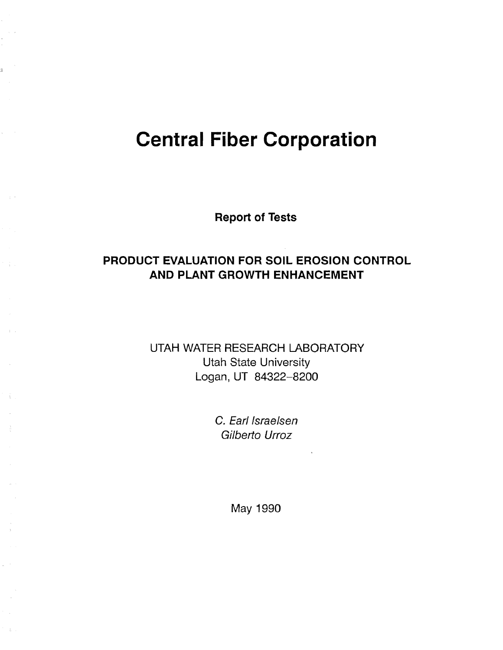# **Central Fiber Corporation**

**Report of Tests** 

# **PRODUCT EVALUATION FOR SOIL EROSION CONTROL AND PLANT GROWTH ENHANCEMENT**

UTAH WATER RESEARCH LABORATORY Utah State University Logan, UT 84322-8200

> C. Earl Israelsen Gilberto Urroz

> > May 1990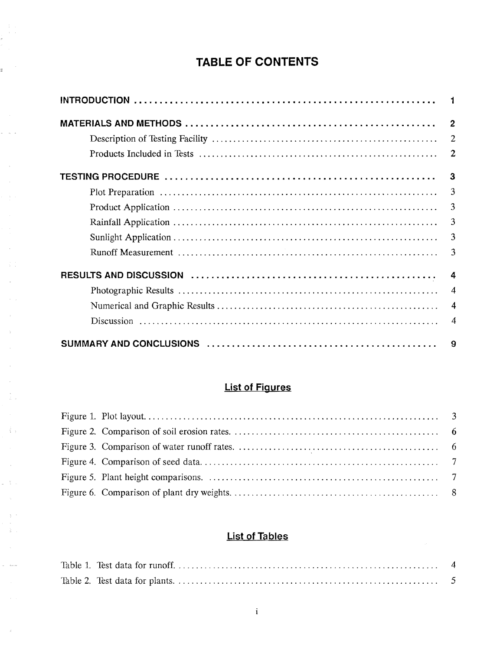# **TABLE OF CONTENTS**

 $\frac{1}{2}$ 

 $\omega = \omega^{\dagger} / \omega$ 

 $\mathcal{A}$ 

 $\sim$ 

 $\mathcal{A}^{\pm}$  $\langle \cdot \rangle_{\rm F}$  $\rightarrow$ 

> $\sim$  $\sim$  $\frac{1}{L}$  )

 $\mathcal{L}_{\mathbf{X} \rightarrow \mathbf{Y}}$ 

 $\frac{1}{\alpha}=\frac{1}{\alpha}$  .

 $\omega_{\rm c} = 6 \mu m$ 

 $\sim 3^{\circ}$ 

| $\overline{2}$ |
|----------------|
| 2              |
| $\overline{2}$ |
| 3              |
| $\overline{3}$ |
| $\overline{3}$ |
| $\overline{3}$ |
| $\overline{3}$ |
| $\overline{3}$ |
| 4              |
| $\overline{4}$ |
| $\overline{4}$ |
| 4              |
| 9              |

# **List of Figures**

## **List of Tables**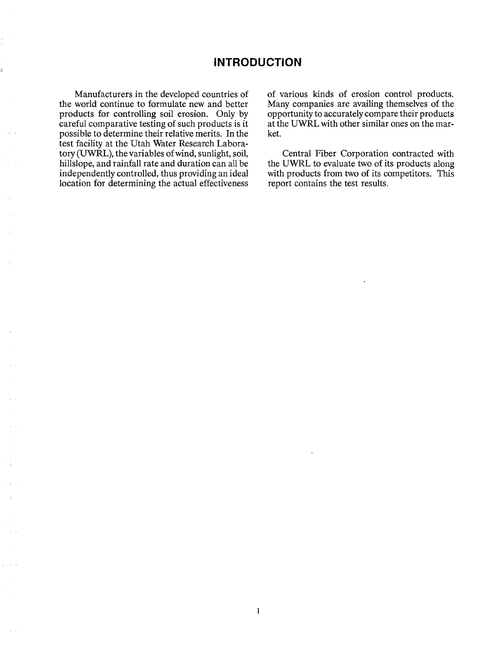## **INTRODUCTION**

Manufacturers in the developed countries of the world continue to formulate new and better products for controlling soil erosion. Only by careful comparative testing of such products is it possible to determine their relative merits. In the test facility at the Utah Water Research Laboratory (UWRL), the variables of wind, sunlight, soil, hillslope, and rainfall rate and duration can all be independently controlled, thus providing an ideal location for determining the actual effectiveness of various kinds of erosion control products. Many companies are availing themselves of the opportunity to accurately compare their products at the UWRL with other similar ones on the market.

Central Fiber Corporation contracted with the UWRL to evaluate two of its products along with products from two of its competitors. This report contains the test results.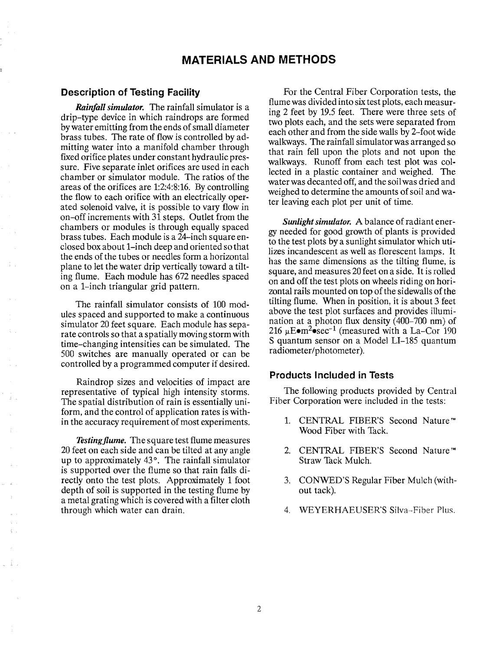## **Description of Testing Facility**

*Rainfall simulator.* The rainfall simulator is a drip-type device in which raindrops are formed by water emitting from the ends of small diameter brass tubes. The rate of flow is controlled by admitting water into a manifold chamber through fixed orifice plates under constant hydraulic pressure. Five separate inlet orifices are used in each chamber or simulator module. The ratios of the areas of the orifices are 1:2:4:8:16. By controlling the flow to each orifice with an electrically operated solenoid valve, it is possible to vary flow in on-off increments with 31 steps, Outlet from the chambers or modules is through equally spaced brass tubes. Each module is a 24-inch square enclosed box about 1-inch deep and oriented so that the ends of the tubes or needles form a horizontal plane to let the water drip vertically toward a tilting flume. Each module has 672 needles spaced on a 1-inch triangular grid pattern.

The rainfall simulator consists of 100 modules spaced and supported to make a continuous simulator 20 feet square. Each module has separate controls so that a spatially moving storm with time-changing intensities can be simulated. The 500 switches are manually operated or can be controlled by a programmed computer if desired.

Raindrop sizes and velocities of impact are representative of typical high intensity storms. The spatial distribution of rain is essentially uniform, and the control of application rates is within the accuracy requirement of most experiments.

*Testing flume.* The square test flume measures 20 feet on each side and can be tilted at any angle up to approximately 43°. The rainfall simulator is supported over the flume so that rain falls directly onto the test plots. Approximately 1 foot depth of soil is supported in the testing flume by a metal grating which is covered with a filter cloth through which water can drain.

For the Central Fiber Corporation tests, the flume was divided into six test plots, each measuring 2 feet by 19.5 feet. There were three sets of two plots each, and the sets were separated from each other and from the side walls by 2-foot wide walkways. The rainfall simulator was arranged so that rain fell upon the plots and not upon the walkways. Runoff from each test plot was collected in a plastic container and weighed. The water was decanted off, and the soil was dried and weighed to determine the amounts of soil and water leaving each plot per unit of time.

*Sunlight simulator.* A balance of radiant energy needed for good growth of plants is provided to the test plots by a sunlight simulator which utilizes incandescent as well as florescent lamps. It has the same dimensions as the tilting flume, is square, and measures 20 feet on a side. It is rolled on and off the test plots on wheels riding on horizontal ralls mounted on top of the sidewalls of the tilting flume. When in position, it is about 3 feet above the test plot surfaces and provides illumination at a photon flux density (400-700 nm) of 216  $\mu$ E $\bullet$ m<sup>2</sup> $\bullet$ sec<sup>-1</sup> (measured with a La-Cor 190 S quantum sensor on a Model LI-185 quantum radiometer/photometer).

### **Products Included in Tests**

The following products provided by Central Fiber Corporation were included in the tests:

- 1. CENTRAL FIBER'S Second Nature"'" Wood Fiber with Tack.
- 2. CENTRAL FIBER'S Second Nature™ Straw Tack Mulch.
- 3. CONWED'S Regular Fiber Mulch (without tack).
- 4. WEYERHAEUSER'S Silva-Fiber Plus.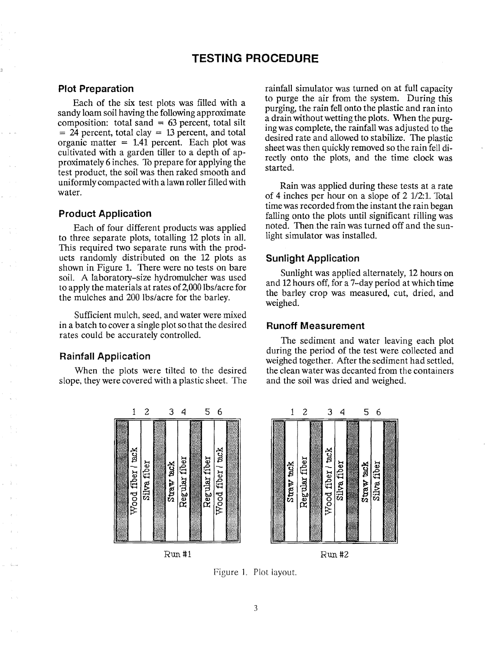## **TESTING PROCEDURE**

#### **Plot Preparation**

Each of the six test plots was filled with a sandy loam soil having the following approximate composition: total sand  $= 63$  percent, total silt  $= 24$  percent, total clay  $= 13$  percent, and total organic matter  $= 1.41$  percent. Each plot was cultivated with a garden tiller to a depth of approximately 6 inches. To prepare for applying the test product, the soil was then raked smooth and uniformly compacted with a lawn roller filled with water.

### **Product Application**

Each of four different products was applied to three separate plots, totalling 12 plots in all. This required two separate runs with the products randomly distributed on the 12 plots as shown in Figure 1. There were no tests on bare soil. A laboratory-size hydromulcher was used to apply the materials at rates of 2,000 lbs/acre for the mulches and 200 lbs/acre for the barley.

Sufficient mulch, seed, and water were mixed in a batch to cover a single plot so that the desired rates could be accurately controlled.

## **Rainfall Application**

When the plots were tilted to the desired slope, they were covered with a plastic sheet. The



Run #1

rainfall simulator was turned on at full capacity to purge the air from the system. During this purging, the rain fell onto the plastic and ran into a drain without wetting the plots. When the purgmg was complete, the rainfall was adjusted to the desired rate and allowed to stabilize. The plastic sheet was then quickly removed so the rain fell directly onto the plots, and the time clock was started.

Rain was applied during these tests at a rate of 4 inches per hour on a slope of  $2 \frac{1}{2}$ : 1. Total time was recorded from the instant the rain began falling onto the plots until significant rilling was noted. Then the rain was turned off and the sunlight simulator was installed.

## **Sunlight Application**

Sunlight was applied alternately, 12 hours on and 12 hours off, for a 7-day period at which time the barley crop was measured, cut, dried, and weighed.

#### **Runoff Measurement**

The sediment and water leaving each plot during the period of the test were collected and weighed together. After the sediment had settled, the clean water was decanted from the containers and the soil was dried and weighed.



Run #2

Figure ]. Plot layout.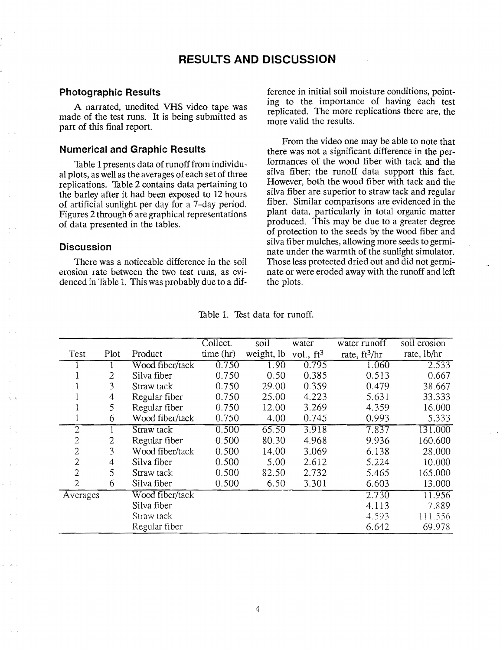## **Photographic Results**

A narrated, unedited VHS video tape was made of the test runs. **It** is being submitted as part of this final report.

### **Numerical and Graphic Results**

Table 1 presents data of runoff from individual plots, as well as the averages of each set of three replications. Table 2 contains data pertaining to the barley after it had been exposed to 12 hours of artificial sunlight per day for a 7-day period. Figures 2 through 6 are graphical representations of data presented in the tables.

### **Discussion**

There was a noticeable difference in the soil erosion rate between the two test runs, as evidenced in Table 1. This was probably due to a difference in initial soil moisture conditions, pointing to the importance of having each test replicated. The more replications there are, the more valid the results.

From the video one may be able to note that there was not a significant difference in the performances of the wood fiber with tack and the silva fiber; the runoff data support this fact. However, both the wood fiber with tack and the silva fiber are superior to straw tack and regular fiber. Similar comparisons are evidenced in the plant data, particularly in total organic matter produced. This may be due to a greater degree of protection to the seeds by the wood fiber and silva fiber mulches, allowing more seeds to germinate under the warmth of the sunlight simulator. Those less protected dried out and did not germinate or were eroded away with the runoff and left the plots.

|                |      |                 | Collect.  | soil       | water        | water runoff    | soil erosion |
|----------------|------|-----------------|-----------|------------|--------------|-----------------|--------------|
| Test           | Plot | Product         | time (hr) | weight, lb | vol., $ft^3$ | rate, $ft^3/hr$ | rate, lb/hr  |
|                |      | Wood fiber/tack | 0.750     | 1.90       | 0.795        | 1.060           | 2.533        |
|                | 2    | Silva fiber     | 0.750     | 0.50       | 0.385        | 0.513           | 0.667        |
|                | 3    | Straw tack      | 0.750     | 29.00      | 0.359        | 0.479           | 38.667       |
|                | 4    | Regular fiber   | 0.750     | 25.00      | 4.223        | 5.631           | 33.333       |
|                | 5    | Regular fiber   | 0.750     | 12.00      | 3.269        | 4.359           | 16.000       |
|                | 6    | Wood fiber/tack | 0.750     | 4.00       | 0.745        | 0.993           | 5.333        |
| $\overline{2}$ |      | Straw tack      | 0.500     | 65.50      | 3.918        | 7.837           | 131.000      |
| 2              | 2    | Regular fiber   | 0.500     | 80.30      | 4.968        | 9.936           | 160.600      |
| $\overline{2}$ | 3    | Wood fiber/tack | 0.500     | 14.00      | 3,069        | 6.138           | 28.000       |
| 2              | 4    | Silva fiber     | 0.500     | 5.00       | 2.612        | 5.224           | 10.000       |
| 2              | 5    | Straw tack      | 0.500     | 82.50      | 2.732        | 5.465           | 165.000      |
| 2              | 6    | Silva fiber     | 0.500     | 6.50       | 3.301        | 6.603           | 13.000       |
| Averages       |      | Wood fiber/tack |           |            |              | 2.730           | 11.956       |
|                |      | Silva fiber     |           |            |              | 4.113           | 7.889        |
|                |      | Straw tack      |           |            |              | 4.593           | 111.556      |
|                |      | Regular fiber   |           |            |              | 6.642           | 69.978       |

Table 1. Test data for runoff.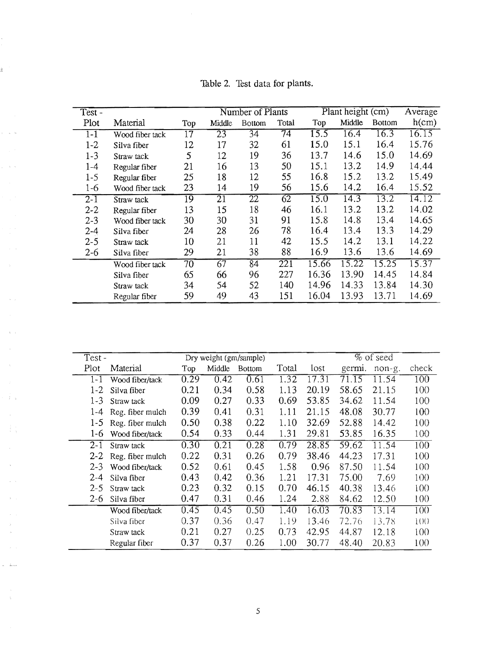| $Test -$ |                 |        | Number of Plants |               |       | Plant height (cm) |        |               | Average |
|----------|-----------------|--------|------------------|---------------|-------|-------------------|--------|---------------|---------|
| Plot     | Material        | Top    | Middle           | <b>Bottom</b> | Total | Top               | Middle | <b>Bottom</b> | h(cm)   |
| $1-1$    | Wood fiber tack | 17     | 23               | 34            | 74    | 15.5              | 16.4   | 16.3          | 16.15   |
| $1 - 2$  | Silva fiber     | 12     | 17               | 32            | 61    | 15.0              | 15.1   | 16.4          | 15.76   |
| $1 - 3$  | Straw tack      | 5      | 12               | 19            | 36    | 13.7              | 14.6   | 15.0          | 14.69   |
| $1 - 4$  | Regular fiber   | 21     | 16               | 13            | 50    | 15.1              | 13.2   | 14.9          | 14.44   |
| $1-5$    | Regular fiber   | 25     | 18               | 12            | 55    | 16.8              | 15.2   | 13.2          | 15.49   |
| $1-6$    | Wood fiber tack | 23     | 14               | 19            | 56    | 15.6              | 14.2   | 16.4          | 15.52   |
| $2 - 1$  | Straw tack      | 19     | $\overline{21}$  | 22            | 62    | 15.0              | 14.3   | 13.2          | 14.12   |
| $2 - 2$  | Regular fiber   | 13     | 15               | 18            | 46    | 16.1              | 13.2   | 13.2          | 14.02   |
| $2 - 3$  | Wood fiber tack | 30     | 30               | 31            | 91    | 15.8              | 14.8   | 13.4          | 14.65   |
| $2 - 4$  | Silva fiber     | 24     | 28               | 26            | 78    | 16.4              | 13.4   | 13.3          | 14.29   |
| $2 - 5$  | Straw tack      | $10\,$ | 21               | 11            | 42    | 15.5              | 14.2   | 13.1          | 14.22   |
| $2 - 6$  | Silva fiber     | 29     | 21               | 38            | 88    | 16.9              | 13.6   | 13.6          | 14.69   |
|          | Wood fiber tack | 70     | 67               | 84            | 221   | 15.66             | 15.22  | 15.25         | 15.37   |
|          | Silva fiber     | 65     | 66               | 96            | 227   | 16.36             | 13.90  | 14.45         | 14.84   |
|          | Straw tack      | 34     | 54               | 52            | 140   | 14.96             | 14.33  | 13.84         | 14.30   |
|          | Regular fiber   | 59     | 49               | 43            | 151   | 16.04             | 13.93  | 13.71         | 14.69   |

Table 2. Test data for plants.

 $\hat{\mathcal{A}}$ 

k,

ż.

 $\sim$   $\kappa$ 

 $\mathcal{A}^{\mathcal{A}}$  .

 $\sim$ 

 $\hat{\mathbf{q}}$ 

 $\beta$  ).  $\bar{z}$ 33

 $\bar{z}$ 

 $\frac{1}{2}$ 

à.

 $\Delta_{\rm{max}}$ 

 $\gamma_{\rm S}$ 

| Test -  |                  |      | $%$ of seed<br>Dry weight (gm/sample) |               |       |       |        |        |       |
|---------|------------------|------|---------------------------------------|---------------|-------|-------|--------|--------|-------|
| Plot    | Material         | Top  | Middle                                | <b>Bottom</b> | Total | lost  | germi. | non-g. | check |
| $1 - 1$ | Wood fiber/tack  | 0.29 | 0.42                                  | 0.61          | 1.32  | 17.31 | 71.15  | 11.54  | 100   |
| $1 - 2$ | Silva fiber      | 0.21 | 0.34                                  | 0.58          | 1.13  | 20.19 | 58.65  | 21.15  | 100   |
| $1 - 3$ | Straw tack       | 0.09 | 0.27                                  | 0.33          | 0.69  | 53.85 | 34.62  | 11.54  | 100   |
| 1-4     | Reg. fiber mulch | 0.39 | 0.41                                  | 0.31          | 1.11  | 21.15 | 48.08  | 30.77  | 100   |
| $1-5$   | Reg. fiber mulch | 0.50 | 0.38                                  | 0.22          | 1.10  | 32.69 | 52.88  | 14.42  | 100   |
| $1-6$   | Wood fiber/tack  | 0.54 | 0.33                                  | 0.44          | 1.31  | 29.81 | 53.85  | 16.35  | 100   |
| $2 - 1$ | Straw tack       | 0.30 | 0.21                                  | 0.28          | 0.79  | 28.85 | 59.62  | 11.54  | 100   |
| $2 - 2$ | Reg. fiber mulch | 0.22 | 0.31                                  | 0.26          | 0.79  | 38.46 | 44.23  | 17.31  | 100   |
| $2 - 3$ | Wood fiber/tack  | 0.52 | 0.61                                  | 0.45          | 1.58  | 0.96  | 87.50  | 11.54  | 100   |
| $2 - 4$ | Silva fiber      | 0.43 | 0.42                                  | 0.36          | 1.21  | 17.31 | 75.00  | 7.69   | 100   |
| $2 - 5$ | Straw tack       | 0.23 | 0.32                                  | 0.15          | 0.70  | 46.15 | 40.38  | 13.46  | 100   |
| $2 - 6$ | Silva fiber      | 0.47 | 0.31                                  | 0.46          | 1.24  | 2.88  | 84.62  | 12.50  | 100   |
|         | Wood fiber/tack  | 0.45 | 0.45                                  | 0.50          | 1.40  | 16.03 | 70.83  | 13.14  | 100   |
|         | Silva fiber      | 0.37 | 0.36                                  | 0.47          | 1.19  | 13.46 | 72.76  | 13.78  | 1()() |
|         | Straw tack       | 0.21 | 0.27                                  | 0.25          | 0.73  | 42.95 | 44.87  | 12.18  | 100   |
|         | Regular fiber    | 0.37 | 0.37                                  | 0.26          | 1.00  | 30.77 | 48.40  | 20.83  | 100   |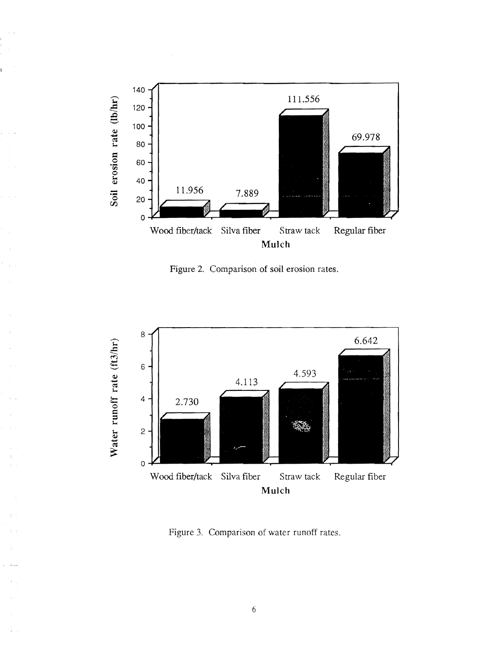

i.

÷,

Figure 2. Comparison of soil erosion rates.



Figure 3. Comparison of water runoff rates.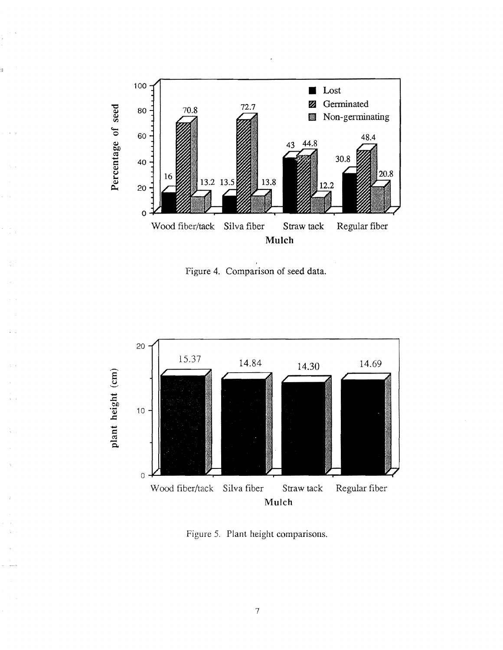

.,

Figure 4. Comparison of seed data.



Figure 5. Plant height comparisons.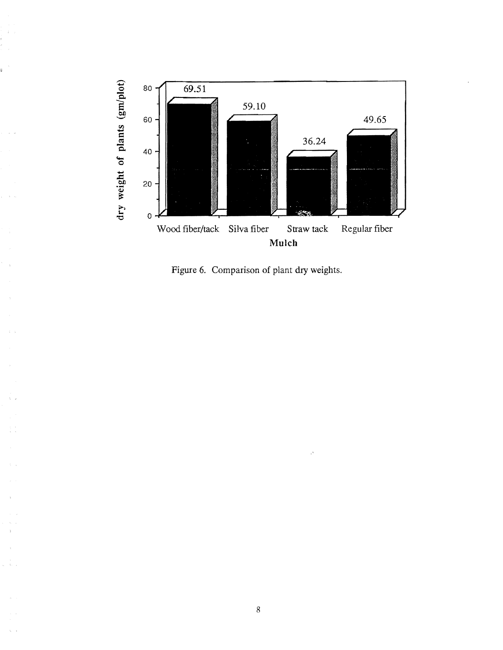

ś

Figure 6. Comparison of plant dry weights.